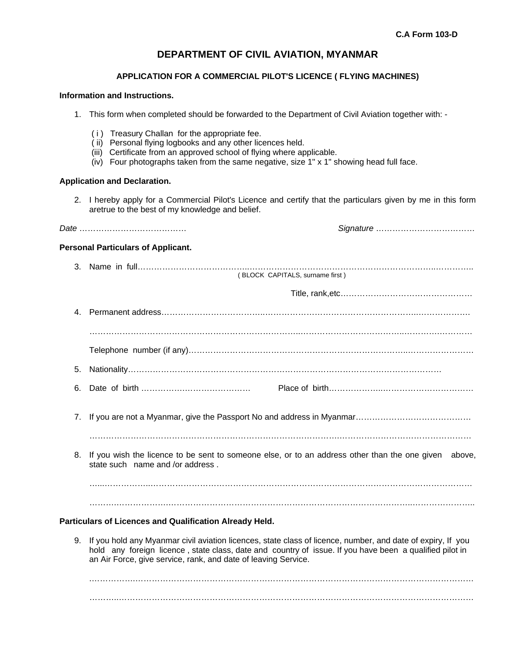# **DEPARTMENT OF CIVIL AVIATION, MYANMAR**

## **APPLICATION FOR A COMMERCIAL PILOT'S LICENCE ( FLYING MACHINES)**

# **Information and Instructions.**

- 1. This form when completed should be forwarded to the Department of Civil Aviation together with:
	- ( i ) Treasury Challan for the appropriate fee.
	- ( ii) Personal flying logbooks and any other licences held.
	- (iii) Certificate from an approved school of flying where applicable.
	- (iv) Four photographs taken from the same negative, size 1" x 1" showing head full face.

#### **Application and Declaration.**

2. I hereby apply for a Commercial Pilot's Licence and certify that the particulars given by me in this form aretrue to the best of my knowledge and belief.

|--|--|

*Date* ………………………………… *Signature* ………………………………

#### **Personal Particulars of Applicant.**

- 3. Name in full…………………………………..…………………………………………………………..………….. ( BLOCK CAPITALS, surname first ) Title, rank,etc………………………………………… 4. Permanent address………………………………..………………………………………………..………………. …………………………………………………………………..………………………………..………….………… Telephone number (if any)……………………………………………………………………..…………………… 5. Nationality…………………………………………………………………………………………………… 6. Date of birth …………….…………………… Place of birth………………..…………………………… 7. If you are not a Myanmar, give the Passport No and address in Myanmar…………………………………… ……………………………………………………………………………….………………………………………… 8. If you wish the licence to be sent to someone else, or to an address other than the one given above, state such name and /or address . …...……………..……………………………………………………………………………………………………… ……….……………….……………………………………………………………………………..………………….. **Particulars of Licences and Qualification Already Held.**
	- 9. If you hold any Myanmar civil aviation licences, state class of licence, number, and date of expiry, If you hold any foreign licence , state class, date and country of issue. If you have been a qualified pilot in an Air Force, give service, rank, and date of leaving Service.

. The contract of the contract of the contract of the contract of the contract of the contract of the contract of the contract of the contract of the contract of the contract of the contract of the contract of the contrac ………..…………………………………………………………………………………………………………………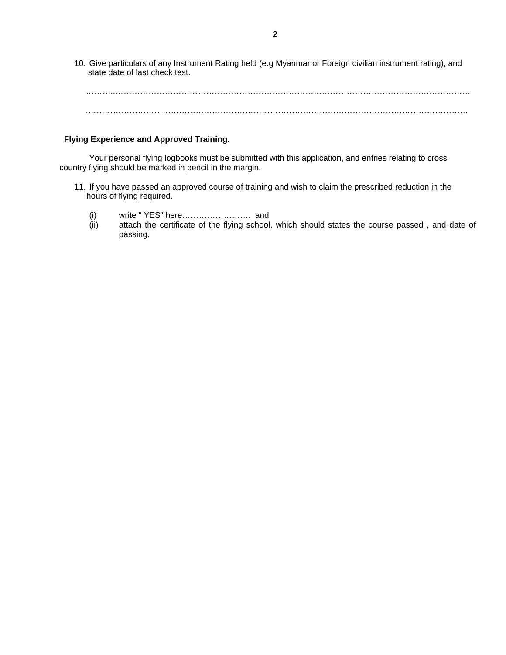10. Give particulars of any Instrument Rating held (e.g Myanmar or Foreign civilian instrument rating), and state date of last check test.

 ………..………………………………………………………………………………………………………………… .…………………………………………………………………………………………………………………………

## **Flying Experience and Approved Training.**

Your personal flying logbooks must be submitted with this application, and entries relating to cross country flying should be marked in pencil in the margin.

- 11. If you have passed an approved course of training and wish to claim the prescribed reduction in the hours of flying required.
	- (i) write " YES" here……………………. and
	- (ii) attach the certificate of the flying school, which should states the course passed , and date of passing.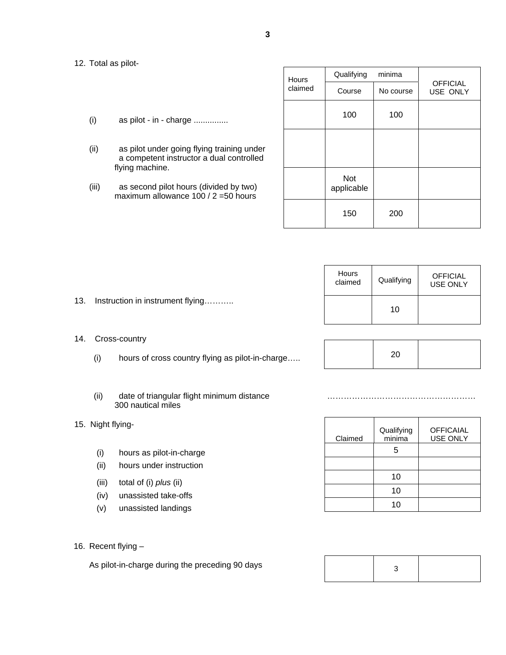#### 12. Total as pilot-

- $(i)$  as pilot in charge ...............
- (ii) as pilot under going flying training under a competent instructor a dual controlled flying machine.
- (iii) as second pilot hours (divided by two) maximum allowance 100 / 2 =50 hours

| <b>Hours</b> | Qualifying               | minima    |                             |  |
|--------------|--------------------------|-----------|-----------------------------|--|
| claimed      | Course                   | No course | <b>OFFICIAL</b><br>USE ONLY |  |
|              | 100                      | 100       |                             |  |
|              |                          |           |                             |  |
|              |                          |           |                             |  |
|              | <b>Not</b><br>applicable |           |                             |  |
|              | 150                      | 200       |                             |  |

| Hours<br>claimed | Qualifying | <b>OFFICIAL</b><br><b>USE ONLY</b> |
|------------------|------------|------------------------------------|
|                  | 10         |                                    |

20

- 13. Instruction in instrument flying………..
- 14. Cross-country
	- (i) hours of cross country flying as pilot-in-charge…..
	- (ii) date of triangular flight minimum distance ……………………………………………… 300 nautical miles
- 15. Night flying-
	- (i) hours as pilot-in-charge
	- (ii) hours under instruction
	- (iii) total of (i) *plus* (ii)
	- (iv) unassisted take-offs
	- (v) unassisted landings
- 16. Recent flying –

As pilot-in-charge during the preceding 90 days

| Claimed | Qualifying<br>minima | <b>OFFICAIAL</b><br><b>USE ONLY</b> |
|---------|----------------------|-------------------------------------|
|         | 5                    |                                     |
|         |                      |                                     |
|         | 10                   |                                     |
|         | 10                   |                                     |
|         | 10                   |                                     |

|--|--|--|